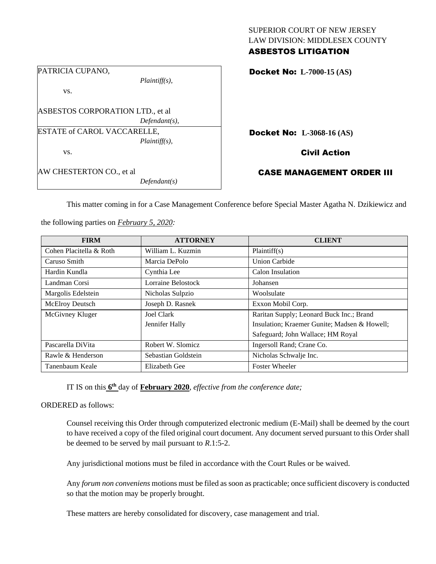| <b>ASBESTOS LITIGATION</b>     |  |
|--------------------------------|--|
| LAW DIVISION: MIDDLESEX COUNTY |  |
| SUPERIOR COURT OF NEW JERSEY   |  |

| PATRICIA CUPANO,                 |                  |  |
|----------------------------------|------------------|--|
|                                  | $Plaintiff(s)$ , |  |
| VS.                              |                  |  |
|                                  |                  |  |
| ASBESTOS CORPORATION LTD., et al |                  |  |
|                                  | $Defendant(s)$ , |  |
| ESTATE of CAROL VACCARELLE,      |                  |  |
|                                  | $Plaintiff(s)$ , |  |
| VS.                              |                  |  |
|                                  |                  |  |
| AW CHESTERTON CO., et al         |                  |  |
|                                  | Defendant(s)     |  |

Docket No: **L-7000-15 (AS)** 

Docket No: **L-3068-16 (AS)** 

Civil Action

CASE MANAGEMENT ORDER III

This matter coming in for a Case Management Conference before Special Master Agatha N. Dzikiewicz and

the following parties on *February 5, 2020:*

| <b>FIRM</b>             | <b>ATTORNEY</b>     | <b>CLIENT</b>                                |
|-------------------------|---------------------|----------------------------------------------|
| Cohen Placitella & Roth | William L. Kuzmin   | Plaintiff(s)                                 |
| Caruso Smith            | Marcia DePolo       | <b>Union Carbide</b>                         |
| Hardin Kundla           | Cynthia Lee         | Calon Insulation                             |
| Landman Corsi           | Lorraine Belostock  | Johansen                                     |
| Margolis Edelstein      | Nicholas Sulpzio    | Woolsulate                                   |
| <b>McElroy Deutsch</b>  | Joseph D. Rasnek    | Exxon Mobil Corp.                            |
| McGivney Kluger         | Joel Clark          | Raritan Supply; Leonard Buck Inc.; Brand     |
|                         | Jennifer Hally      | Insulation; Kraemer Gunite; Madsen & Howell; |
|                         |                     | Safeguard; John Wallace; HM Royal            |
| Pascarella DiVita       | Robert W. Slomicz   | Ingersoll Rand; Crane Co.                    |
| Rawle & Henderson       | Sebastian Goldstein | Nicholas Schwalje Inc.                       |
| Tanenbaum Keale         | Elizabeth Gee       | <b>Foster Wheeler</b>                        |

IT IS on this **6 th** day of **February 2020**, *effective from the conference date;*

ORDERED as follows:

Counsel receiving this Order through computerized electronic medium (E-Mail) shall be deemed by the court to have received a copy of the filed original court document. Any document served pursuant to this Order shall be deemed to be served by mail pursuant to *R*.1:5-2.

Any jurisdictional motions must be filed in accordance with the Court Rules or be waived.

Any *forum non conveniens* motions must be filed as soon as practicable; once sufficient discovery is conducted so that the motion may be properly brought.

These matters are hereby consolidated for discovery, case management and trial.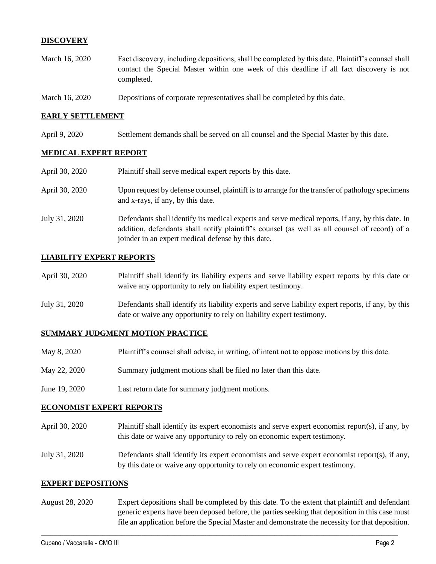# **DISCOVERY**

- March 16, 2020 Fact discovery, including depositions, shall be completed by this date. Plaintiff's counsel shall contact the Special Master within one week of this deadline if all fact discovery is not completed.
- March 16, 2020 Depositions of corporate representatives shall be completed by this date.

## **EARLY SETTLEMENT**

April 9, 2020 Settlement demands shall be served on all counsel and the Special Master by this date.

# **MEDICAL EXPERT REPORT**

| April 30, 2020 | Plaintiff shall serve medical expert reports by this date.                                                                                                                                                                                               |
|----------------|----------------------------------------------------------------------------------------------------------------------------------------------------------------------------------------------------------------------------------------------------------|
| April 30, 2020 | Upon request by defense counsel, plaintiff is to arrange for the transfer of pathology specimens<br>and x-rays, if any, by this date.                                                                                                                    |
| July 31, 2020  | Defendants shall identify its medical experts and serve medical reports, if any, by this date. In<br>addition, defendants shall notify plaintiff's counsel (as well as all counsel of record) of a<br>joinder in an expert medical defense by this date. |

## **LIABILITY EXPERT REPORTS**

| April 30, 2020 | Plaintiff shall identify its liability experts and serve liability expert reports by this date or<br>waive any opportunity to rely on liability expert testimony. |
|----------------|-------------------------------------------------------------------------------------------------------------------------------------------------------------------|
| July 31 2020   | Defendants shall identify its liability experts and serve liability expert reports if any by this                                                                 |

shall identify its liability experts and serve liability expert reports, if any, by this date or waive any opportunity to rely on liability expert testimony.

#### **SUMMARY JUDGMENT MOTION PRACTICE**

| May 8, 2020 | Plaintiff's counsel shall advise, in writing, of intent not to oppose motions by this date. |  |  |  |
|-------------|---------------------------------------------------------------------------------------------|--|--|--|
|-------------|---------------------------------------------------------------------------------------------|--|--|--|

- May 22, 2020 Summary judgment motions shall be filed no later than this date.
- June 19, 2020 Last return date for summary judgment motions.

## **ECONOMIST EXPERT REPORTS**

- April 30, 2020 Plaintiff shall identify its expert economists and serve expert economist report(s), if any, by this date or waive any opportunity to rely on economic expert testimony.
- July 31, 2020 Defendants shall identify its expert economists and serve expert economist report(s), if any, by this date or waive any opportunity to rely on economic expert testimony.

### **EXPERT DEPOSITIONS**

August 28, 2020 Expert depositions shall be completed by this date. To the extent that plaintiff and defendant generic experts have been deposed before, the parties seeking that deposition in this case must file an application before the Special Master and demonstrate the necessity for that deposition.

 $\_$  , and the set of the set of the set of the set of the set of the set of the set of the set of the set of the set of the set of the set of the set of the set of the set of the set of the set of the set of the set of th